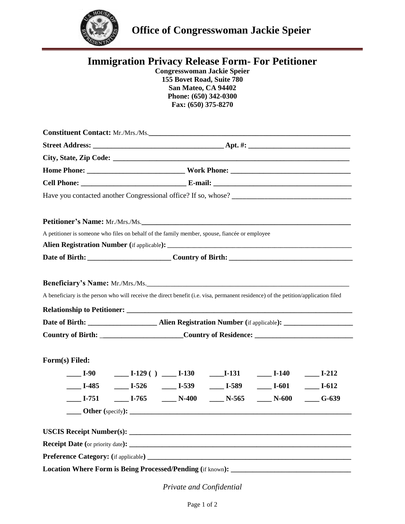

ī

|                | <b>Immigration Privacy Release Form- For Petitioner</b><br><b>Congresswoman Jackie Speier</b><br>155 Bovet Road, Suite 780<br>San Mateo, CA 94402<br>Phone: (650) 342-0300<br>Fax: (650) 375-8270 |
|----------------|---------------------------------------------------------------------------------------------------------------------------------------------------------------------------------------------------|
|                |                                                                                                                                                                                                   |
|                |                                                                                                                                                                                                   |
|                |                                                                                                                                                                                                   |
|                |                                                                                                                                                                                                   |
|                |                                                                                                                                                                                                   |
|                |                                                                                                                                                                                                   |
|                | <b>Petitioner's Name:</b> Mr./Mrs./Ms.<br>A petitioner is someone who files on behalf of the family member, spouse, fiancée or employee                                                           |
|                |                                                                                                                                                                                                   |
|                | Beneficiary's Name: Mr./Mrs./Ms.<br>A beneficiary is the person who will receive the direct benefit (i.e. visa, permanent residence) of the petition/application filed                            |
|                |                                                                                                                                                                                                   |
|                | Country of Birth: _________________________Country of Residence: ___________________________________                                                                                              |
| Form(s) Filed: | Let 1-90 Let 1-129 ( ) Let 1-130 Let 1-131 Let 1-140<br>$\frac{1-212}{2}$<br>L-485 L-526 L-539 L-589 L-601<br>$I-612$                                                                             |
|                |                                                                                                                                                                                                   |
|                |                                                                                                                                                                                                   |
|                |                                                                                                                                                                                                   |
|                |                                                                                                                                                                                                   |
|                |                                                                                                                                                                                                   |
|                |                                                                                                                                                                                                   |

*Private and Confidential*